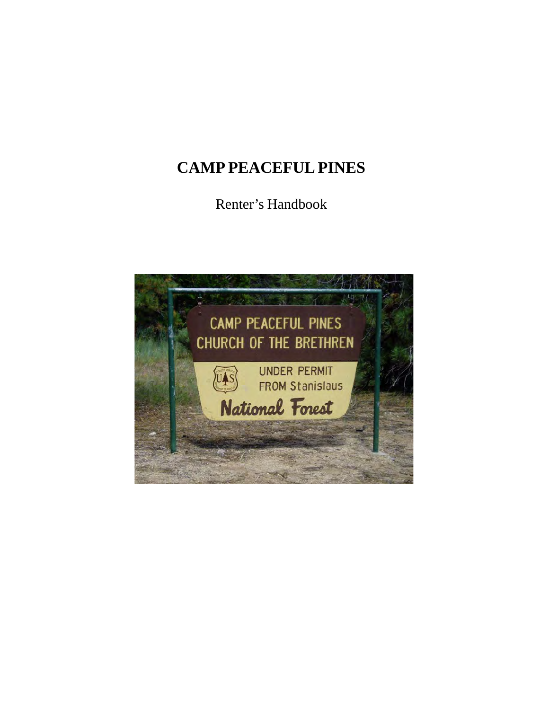# **CAMP PEACEFUL PINES**

Renter's Handbook

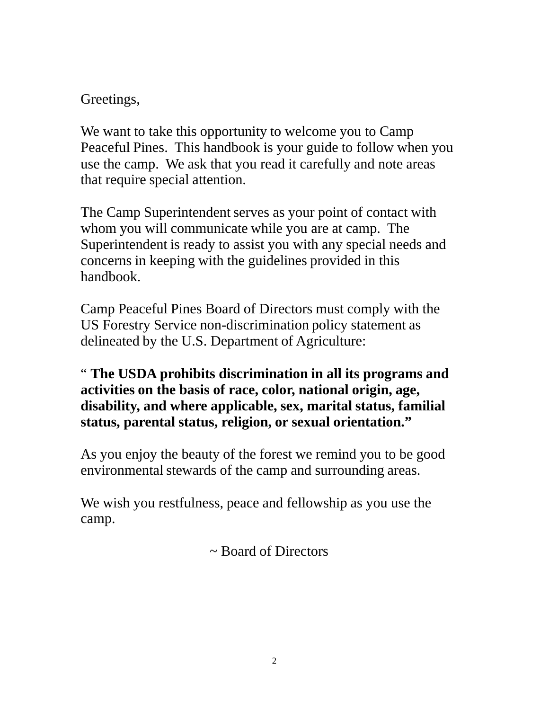## Greetings,

We want to take this opportunity to welcome you to Camp Peaceful Pines. This handbook is your guide to follow when you use the camp. We ask that you read it carefully and note areas that require special attention.

The Camp Superintendent serves as your point of contact with whom you will communicate while you are at camp. The Superintendent is ready to assist you with any special needs and concerns in keeping with the guidelines provided in this handbook.

Camp Peaceful Pines Board of Directors must comply with the US Forestry Service non-discrimination policy statement as delineated by the U.S. Department of Agriculture:

" **The USDA prohibits discrimination in all its programs and activities on the basis of race, color, national origin, age, disability, and where applicable, sex, marital status, familial status, parental status, religion, or sexual orientation."**

As you enjoy the beauty of the forest we remind you to be good environmental stewards of the camp and surrounding areas.

We wish you restfulness, peace and fellowship as you use the camp.

~ Board of Directors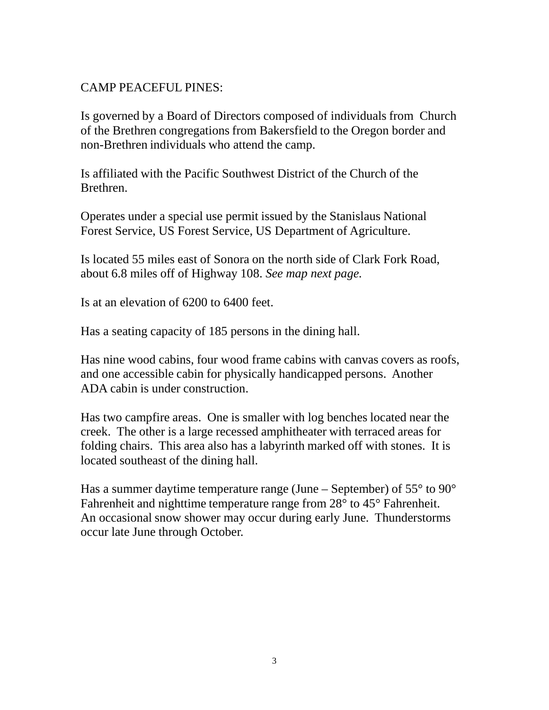#### CAMP PEACEFUL PINES:

Is governed by a Board of Directors composed of individuals from Church of the Brethren congregations from Bakersfield to the Oregon border and non-Brethren individuals who attend the camp.

Is affiliated with the Pacific Southwest District of the Church of the Brethren.

Operates under a special use permit issued by the Stanislaus National Forest Service, US Forest Service, US Department of Agriculture.

Is located 55 miles east of Sonora on the north side of Clark Fork Road, about 6.8 miles off of Highway 108. *See map next page.*

Is at an elevation of 6200 to 6400 feet.

Has a seating capacity of 185 persons in the dining hall.

Has nine wood cabins, four wood frame cabins with canvas covers as roofs, and one accessible cabin for physically handicapped persons. Another ADA cabin is under construction.

Has two campfire areas. One is smaller with log benches located near the creek. The other is a large recessed amphitheater with terraced areas for folding chairs. This area also has a labyrinth marked off with stones. It is located southeast of the dining hall.

Has a summer daytime temperature range (June – September) of  $55^{\circ}$  to  $90^{\circ}$ Fahrenheit and nighttime temperature range from 28° to 45° Fahrenheit. An occasional snow shower may occur during early June. Thunderstorms occur late June through October.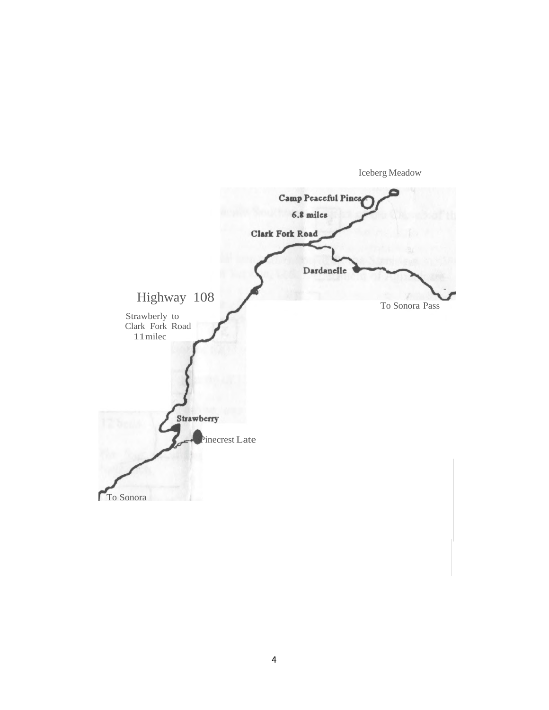

Iceberg Meadow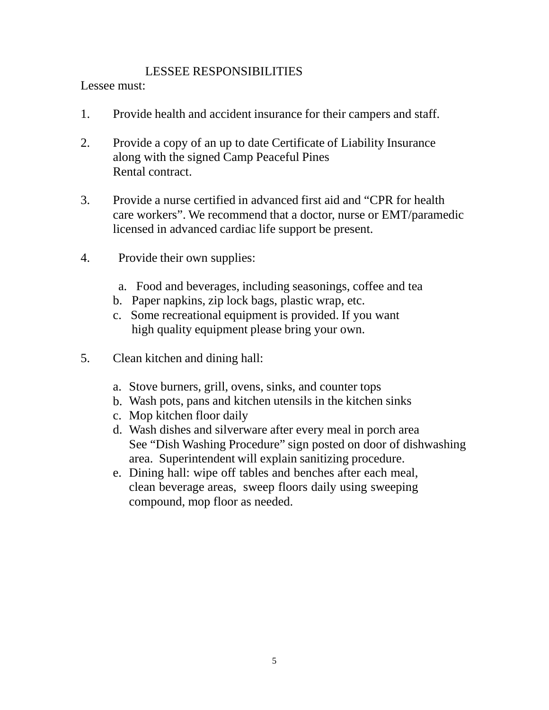#### LESSEE RESPONSIBILITIES

Lessee must:

- 1. Provide health and accident insurance for their campers and staff.
- 2. Provide a copy of an up to date Certificate of Liability Insurance along with the signed Camp Peaceful Pines Rental contract.
- 3. Provide a nurse certified in advanced first aid and "CPR for health care workers". We recommend that a doctor, nurse or EMT/paramedic licensed in advanced cardiac life support be present.
- 4. Provide their own supplies:
	- a. Food and beverages, including seasonings, coffee and tea
	- b. Paper napkins, zip lock bags, plastic wrap, etc.
	- c. Some recreational equipment is provided. If you want high quality equipment please bring your own.
- 5. Clean kitchen and dining hall:
	- a. Stove burners, grill, ovens, sinks, and counter tops
	- b. Wash pots, pans and kitchen utensils in the kitchen sinks
	- c. Mop kitchen floor daily
	- d. Wash dishes and silverware after every meal in porch area See "Dish Washing Procedure" sign posted on door of dishwashing area. Superintendent will explain sanitizing procedure.
	- e. Dining hall: wipe off tables and benches after each meal, clean beverage areas, sweep floors daily using sweeping compound, mop floor as needed.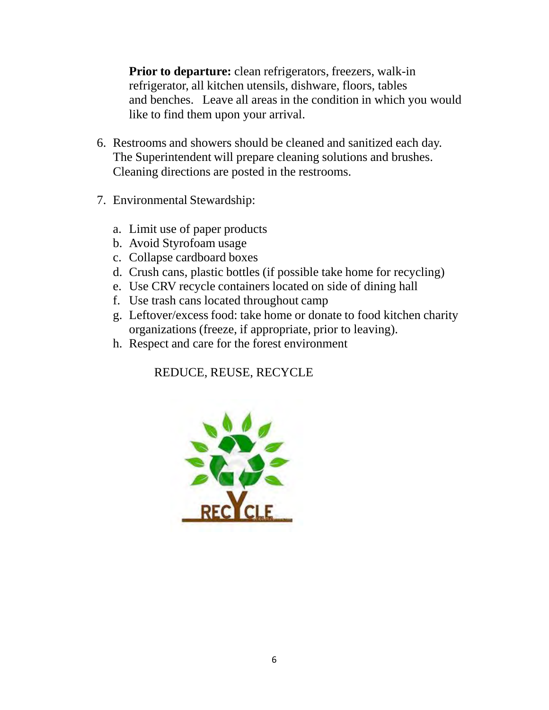**Prior to departure:** clean refrigerators, freezers, walk-in refrigerator, all kitchen utensils, dishware, floors, tables and benches. Leave all areas in the condition in which you would like to find them upon your arrival.

- 6. Restrooms and showers should be cleaned and sanitized each day. The Superintendent will prepare cleaning solutions and brushes. Cleaning directions are posted in the restrooms.
- 7. Environmental Stewardship:
	- a. Limit use of paper products
	- b. Avoid Styrofoam usage
	- c. Collapse cardboard boxes
	- d. Crush cans, plastic bottles (if possible take home for recycling)
	- e. Use CRV recycle containers located on side of dining hall
	- f. Use trash cans located throughout camp
	- g. Leftover/excess food: take home or donate to food kitchen charity organizations (freeze, if appropriate, prior to leaving).
	- h. Respect and care for the forest environment

### REDUCE, REUSE, RECYCLE

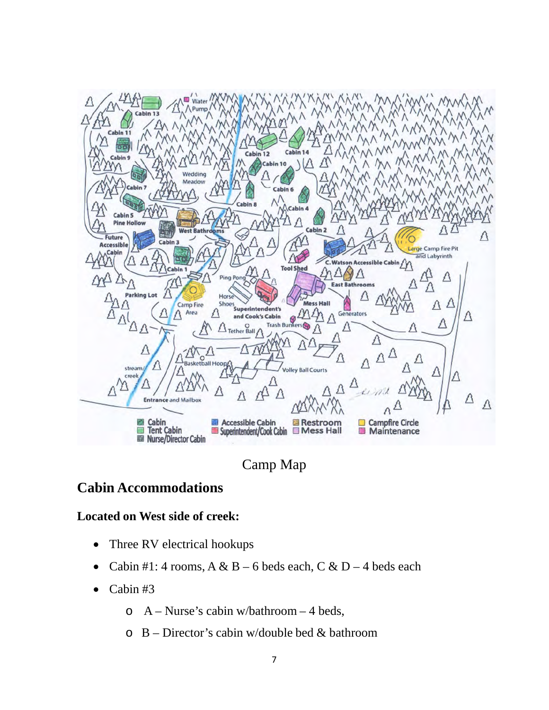

### Camp Map

### **Cabin Accommodations**

#### **Located on West side of creek:**

- Three RV electrical hookups
- Cabin #1: 4 rooms,  $A \& B 6$  beds each,  $C \& D 4$  beds each
- Cabin #3
	- $\circ$  A Nurse's cabin w/bathroom 4 beds,
	- o B Director's cabin w/double bed & bathroom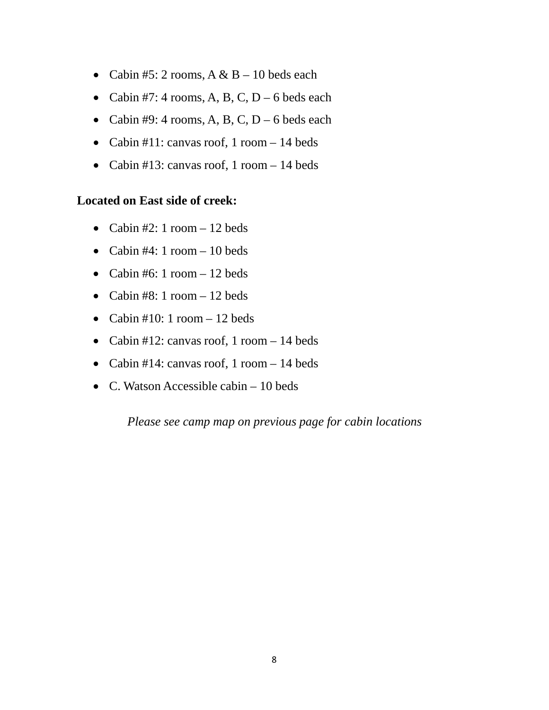- Cabin #5: 2 rooms,  $A & B 10$  beds each
- Cabin #7: 4 rooms, A, B, C, D 6 beds each
- Cabin #9: 4 rooms, A, B, C, D 6 beds each
- Cabin #11: canvas roof, 1 room  $-14$  beds
- Cabin #13: canvas roof, 1 room  $-14$  beds

#### **Located on East side of creek:**

- Cabin #2: 1 room  $-12$  beds
- Cabin #4: 1 room  $-10$  beds
- Cabin #6: 1 room  $-12$  beds
- Cabin #8: 1 room  $-12$  beds
- Cabin #10: 1 room  $-12$  beds
- Cabin #12: canvas roof, 1 room  $-14$  beds
- Cabin #14: canvas roof, 1 room  $-14$  beds
- C. Watson Accessible cabin 10 beds

*Please see camp map on previous page for cabin locations*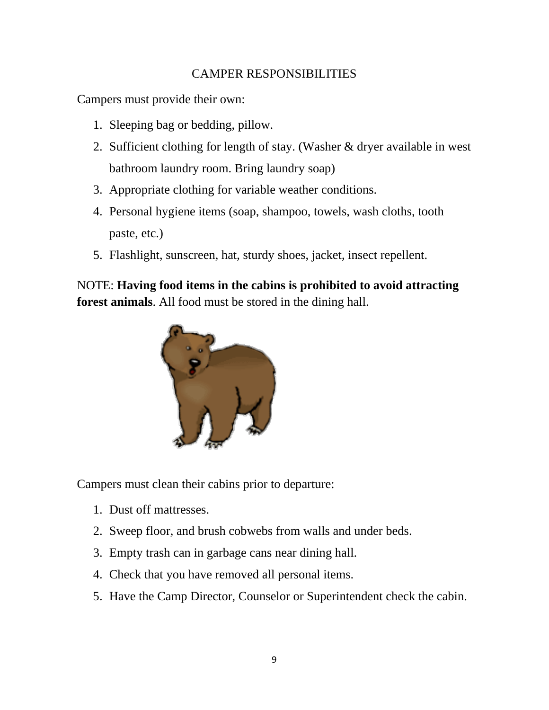### CAMPER RESPONSIBILITIES

Campers must provide their own:

- 1. Sleeping bag or bedding, pillow.
- 2. Sufficient clothing for length of stay. (Washer & dryer available in west bathroom laundry room. Bring laundry soap)
- 3. Appropriate clothing for variable weather conditions.
- 4. Personal hygiene items (soap, shampoo, towels, wash cloths, tooth paste, etc.)
- 5. Flashlight, sunscreen, hat, sturdy shoes, jacket, insect repellent.

NOTE: **Having food items in the cabins is prohibited to avoid attracting forest animals**. All food must be stored in the dining hall.



Campers must clean their cabins prior to departure:

- 1. Dust off mattresses.
- 2. Sweep floor, and brush cobwebs from walls and under beds.
- 3. Empty trash can in garbage cans near dining hall.
- 4. Check that you have removed all personal items.
- 5. Have the Camp Director, Counselor or Superintendent check the cabin.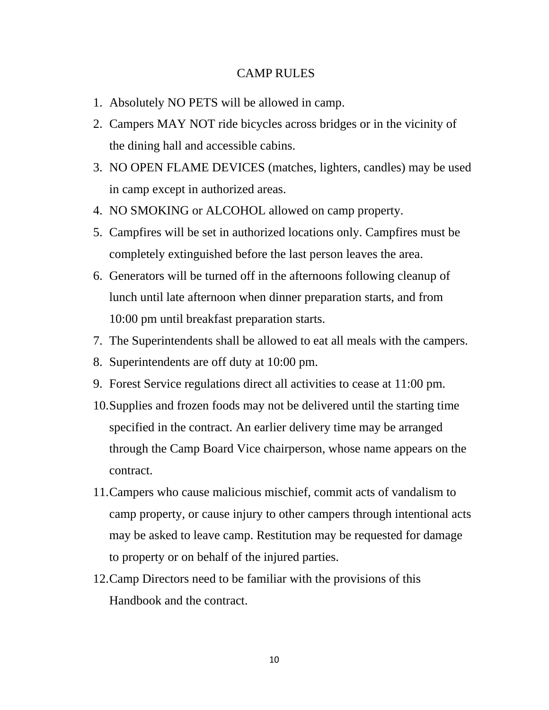#### CAMP RULES

- 1. Absolutely NO PETS will be allowed in camp.
- 2. Campers MAY NOT ride bicycles across bridges or in the vicinity of the dining hall and accessible cabins.
- 3. NO OPEN FLAME DEVICES (matches, lighters, candles) may be used in camp except in authorized areas.
- 4. NO SMOKING or ALCOHOL allowed on camp property.
- 5. Campfires will be set in authorized locations only. Campfires must be completely extinguished before the last person leaves the area.
- 6. Generators will be turned off in the afternoons following cleanup of lunch until late afternoon when dinner preparation starts, and from 10:00 pm until breakfast preparation starts.
- 7. The Superintendents shall be allowed to eat all meals with the campers.
- 8. Superintendents are off duty at 10:00 pm.
- 9. Forest Service regulations direct all activities to cease at 11:00 pm.
- 10.Supplies and frozen foods may not be delivered until the starting time specified in the contract. An earlier delivery time may be arranged through the Camp Board Vice chairperson, whose name appears on the contract.
- 11.Campers who cause malicious mischief, commit acts of vandalism to camp property, or cause injury to other campers through intentional acts may be asked to leave camp. Restitution may be requested for damage to property or on behalf of the injured parties.
- 12.Camp Directors need to be familiar with the provisions of this Handbook and the contract.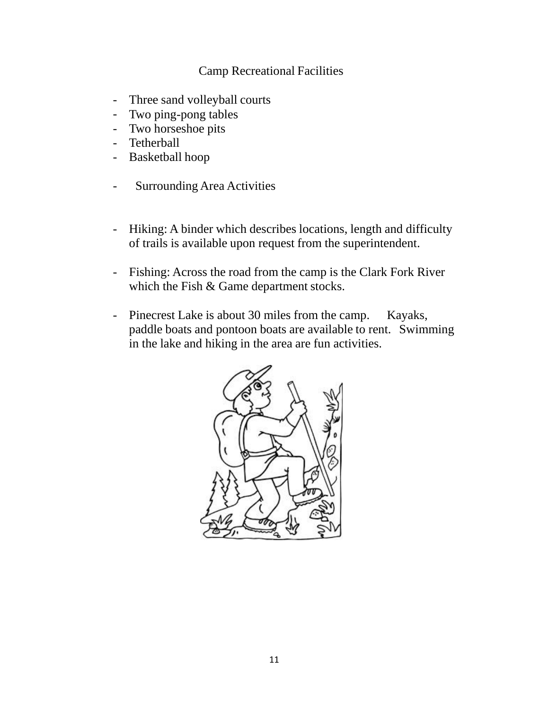#### Camp Recreational Facilities

- Three sand volleyball courts
- Two ping-pong tables
- Two horseshoe pits
- Tetherball
- Basketball hoop
- Surrounding Area Activities
- Hiking: A binder which describes locations, length and difficulty of trails is available upon request from the superintendent.
- Fishing: Across the road from the camp is the Clark Fork River which the Fish & Game department stocks.
- Pinecrest Lake is about 30 miles from the camp. Kayaks, paddle boats and pontoon boats are available to rent. Swimmingin the lake and hiking in the area are fun activities.